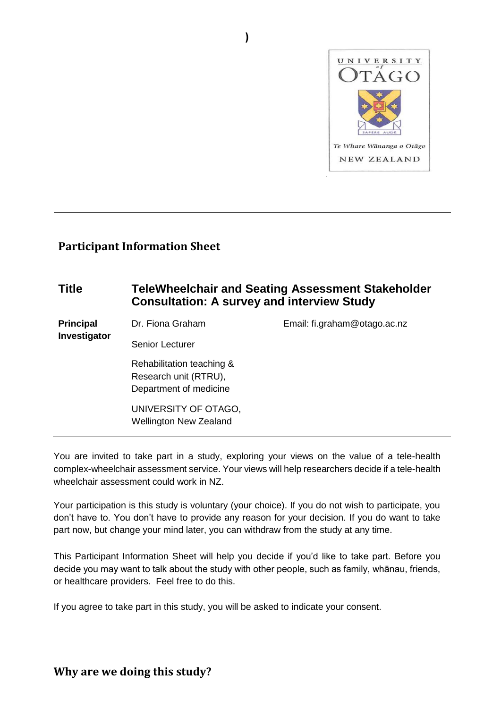

#### **Participant Information Sheet**

#### **Title TeleWheelchair and Seating Assessment Stakeholder Consultation: A survey and interview Study Principal Investigator**  Dr. Fiona Graham Senior Lecturer Email: fi.graham@otago.ac.nz Rehabilitation teaching & Research unit (RTRU), Department of medicine UNIVERSITY OF OTAGO, Wellington New Zealand

**)**

You are invited to take part in a study, exploring your views on the value of a tele-health complex-wheelchair assessment service. Your views will help researchers decide if a tele-health wheelchair assessment could work in NZ.

Your participation is this study is voluntary (your choice). If you do not wish to participate, you don't have to. You don't have to provide any reason for your decision. If you do want to take part now, but change your mind later, you can withdraw from the study at any time.

This Participant Information Sheet will help you decide if you'd like to take part. Before you decide you may want to talk about the study with other people, such as family, whānau, friends, or healthcare providers. Feel free to do this.

If you agree to take part in this study, you will be asked to indicate your consent.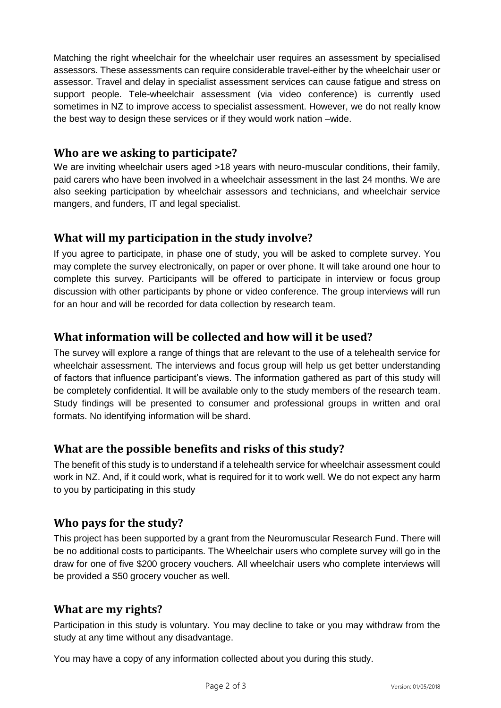Matching the right wheelchair for the wheelchair user requires an assessment by specialised assessors. These assessments can require considerable travel-either by the wheelchair user or assessor. Travel and delay in specialist assessment services can cause fatigue and stress on support people. Tele-wheelchair assessment (via video conference) is currently used sometimes in NZ to improve access to specialist assessment. However, we do not really know the best way to design these services or if they would work nation –wide.

#### **Who are we asking to participate?**

We are inviting wheelchair users aged >18 years with neuro-muscular conditions, their family, paid carers who have been involved in a wheelchair assessment in the last 24 months. We are also seeking participation by wheelchair assessors and technicians, and wheelchair service mangers, and funders, IT and legal specialist.

# **What will my participation in the study involve?**

If you agree to participate, in phase one of study, you will be asked to complete survey. You may complete the survey electronically, on paper or over phone. It will take around one hour to complete this survey. Participants will be offered to participate in interview or focus group discussion with other participants by phone or video conference. The group interviews will run for an hour and will be recorded for data collection by research team.

# **What information will be collected and how will it be used?**

The survey will explore a range of things that are relevant to the use of a telehealth service for wheelchair assessment. The interviews and focus group will help us get better understanding of factors that influence participant's views. The information gathered as part of this study will be completely confidential. It will be available only to the study members of the research team. Study findings will be presented to consumer and professional groups in written and oral formats. No identifying information will be shard.

# **What are the possible benefits and risks of this study?**

The benefit of this study is to understand if a telehealth service for wheelchair assessment could work in NZ. And, if it could work, what is required for it to work well. We do not expect any harm to you by participating in this study

# **Who pays for the study?**

This project has been supported by a grant from the Neuromuscular Research Fund. There will be no additional costs to participants. The Wheelchair users who complete survey will go in the draw for one of five \$200 grocery vouchers. All wheelchair users who complete interviews will be provided a \$50 grocery voucher as well.

# **What are my rights?**

Participation in this study is voluntary. You may decline to take or you may withdraw from the study at any time without any disadvantage.

You may have a copy of any information collected about you during this study.